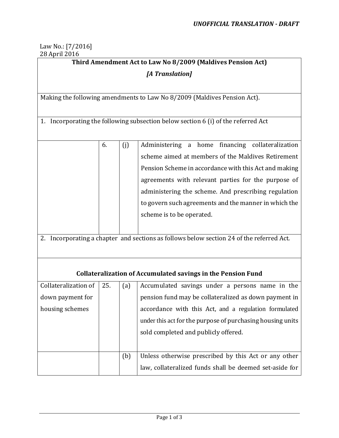## Law No.: [7/2016] 28 April 2016

## **Third Amendment Act to Law No 8/2009 (Maldives Pension Act)**  *[A Translation]*

Making the following amendments to Law No 8/2009 (Maldives Pension Act).

1. Incorporating the following subsection below section 6 (i) of the referred Act

| 6. | (j) | Administering a home financing collateralization      |
|----|-----|-------------------------------------------------------|
|    |     | scheme aimed at members of the Maldives Retirement    |
|    |     | Pension Scheme in accordance with this Act and making |
|    |     | agreements with relevant parties for the purpose of   |
|    |     | administering the scheme. And prescribing regulation  |
|    |     | to govern such agreements and the manner in which the |
|    |     | scheme is to be operated.                             |
|    |     |                                                       |

2. Incorporating a chapter and sections as follows below section 24 of the referred Act.

## **Collateralization of Accumulated savings in the Pension Fund**

| Collateralization of | 25. | (a) | Accumulated savings under a persons name in the            |
|----------------------|-----|-----|------------------------------------------------------------|
| down payment for     |     |     | pension fund may be collateralized as down payment in      |
| housing schemes      |     |     | accordance with this Act, and a regulation formulated      |
|                      |     |     | under this act for the purpose of purchasing housing units |
|                      |     |     | sold completed and publicly offered.                       |
|                      |     |     |                                                            |
|                      |     | (b) | Unless otherwise prescribed by this Act or any other       |
|                      |     |     | law, collateralized funds shall be deemed set-aside for    |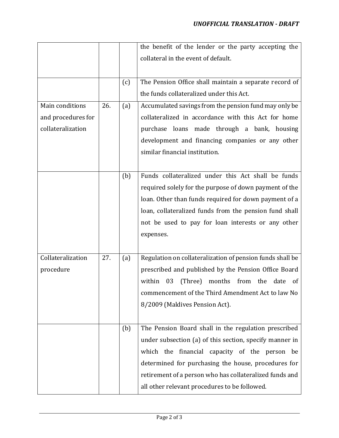|                    |     |     | the benefit of the lender or the party accepting the        |
|--------------------|-----|-----|-------------------------------------------------------------|
|                    |     |     | collateral in the event of default.                         |
|                    |     |     |                                                             |
|                    |     | (c) | The Pension Office shall maintain a separate record of      |
|                    |     |     | the funds collateralized under this Act.                    |
| Main conditions    | 26. | (a) | Accumulated savings from the pension fund may only be       |
| and procedures for |     |     | collateralized in accordance with this Act for home         |
| collateralization  |     |     | purchase loans made through a bank, housing                 |
|                    |     |     | development and financing companies or any other            |
|                    |     |     | similar financial institution.                              |
|                    |     |     |                                                             |
|                    |     | (b) | Funds collateralized under this Act shall be funds          |
|                    |     |     | required solely for the purpose of down payment of the      |
|                    |     |     | loan. Other than funds required for down payment of a       |
|                    |     |     | loan, collateralized funds from the pension fund shall      |
|                    |     |     | not be used to pay for loan interests or any other          |
|                    |     |     | expenses.                                                   |
|                    |     |     |                                                             |
| Collateralization  | 27. | (a) | Regulation on collateralization of pension funds shall be   |
| procedure          |     |     | prescribed and published by the Pension Office Board        |
|                    |     |     | months from<br>within<br>03<br>(Three)<br>the<br>date<br>of |
|                    |     |     | commencement of the Third Amendment Act to law No           |
|                    |     |     | 8/2009 (Maldives Pension Act).                              |
|                    |     |     |                                                             |
|                    |     | (b) | The Pension Board shall in the regulation prescribed        |
|                    |     |     | under subsection (a) of this section, specify manner in     |
|                    |     |     | which the financial capacity of the person<br>be            |
|                    |     |     | determined for purchasing the house, procedures for         |
|                    |     |     | retirement of a person who has collateralized funds and     |
|                    |     |     | all other relevant procedures to be followed.               |
|                    |     |     |                                                             |